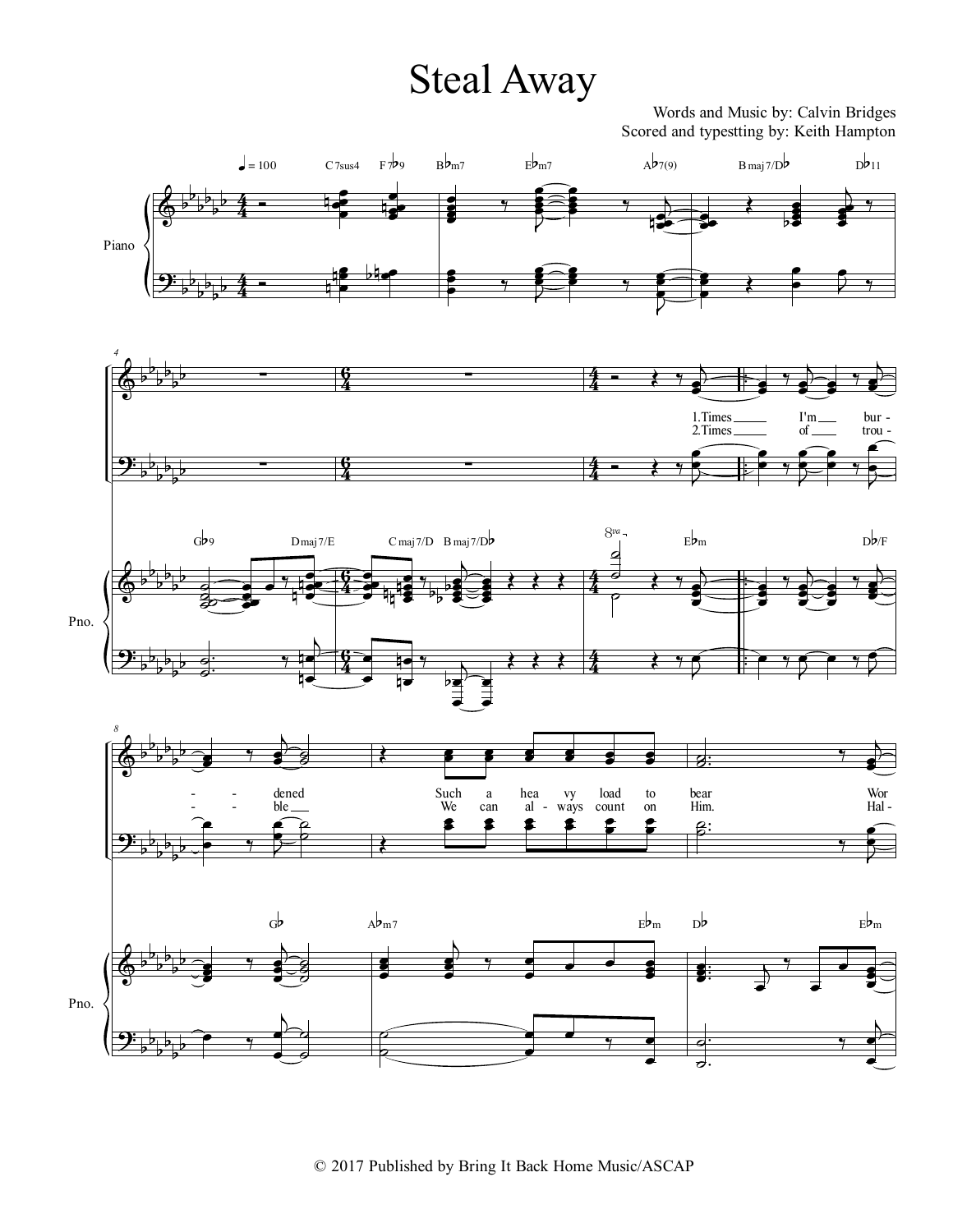Words and Music by: Calvin Bridges Scored and typestting by: Keith Hampton

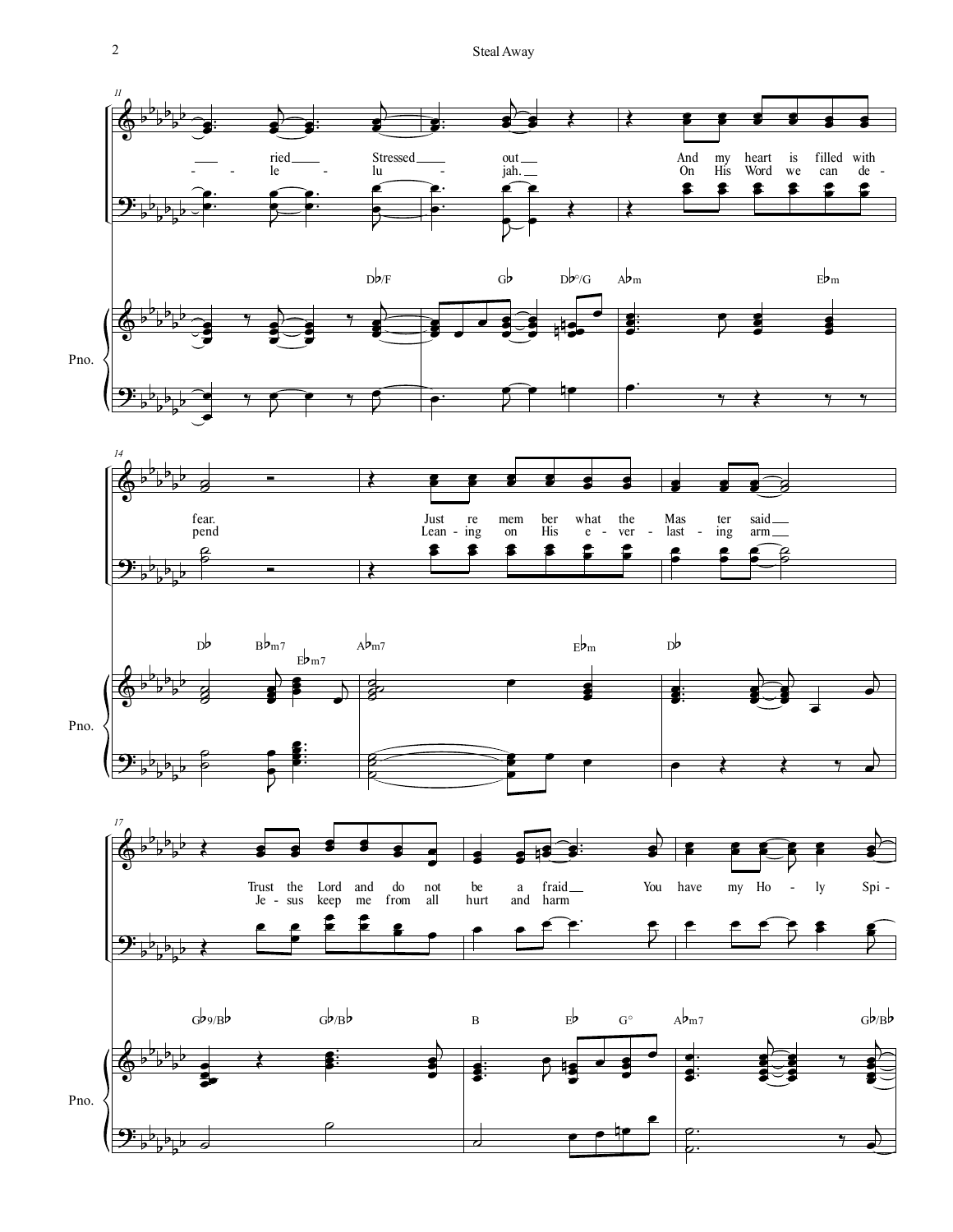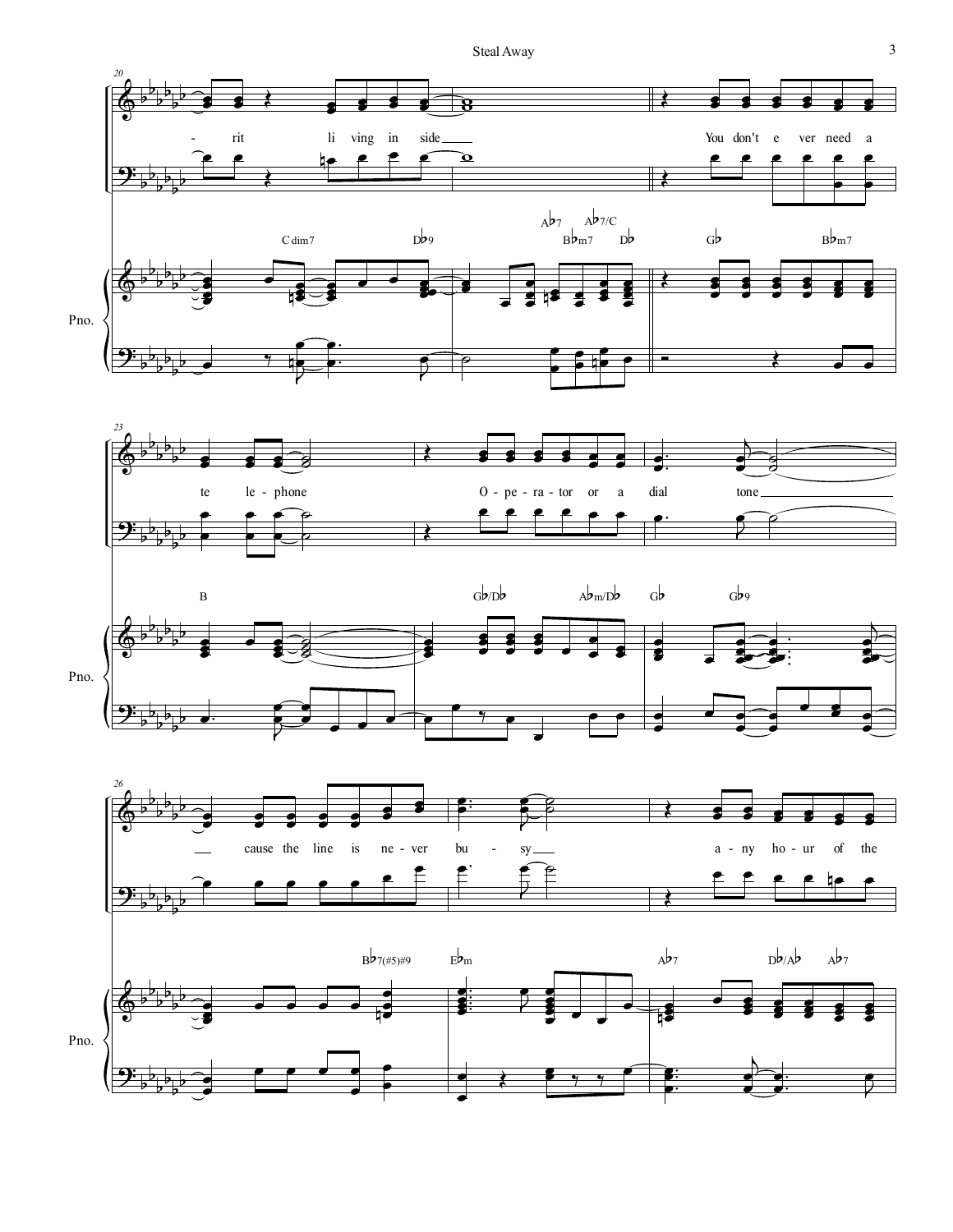





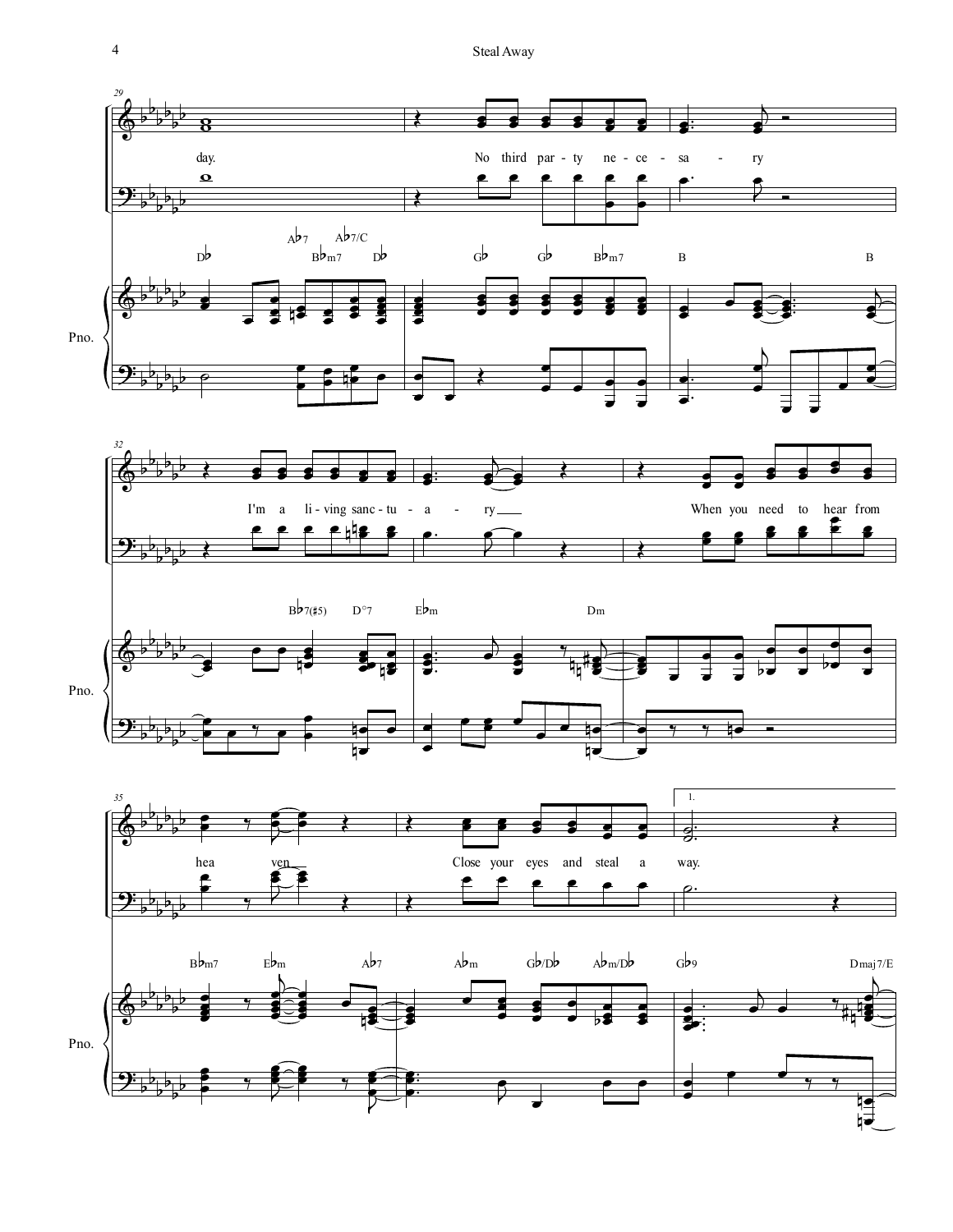

 $\overline{4}$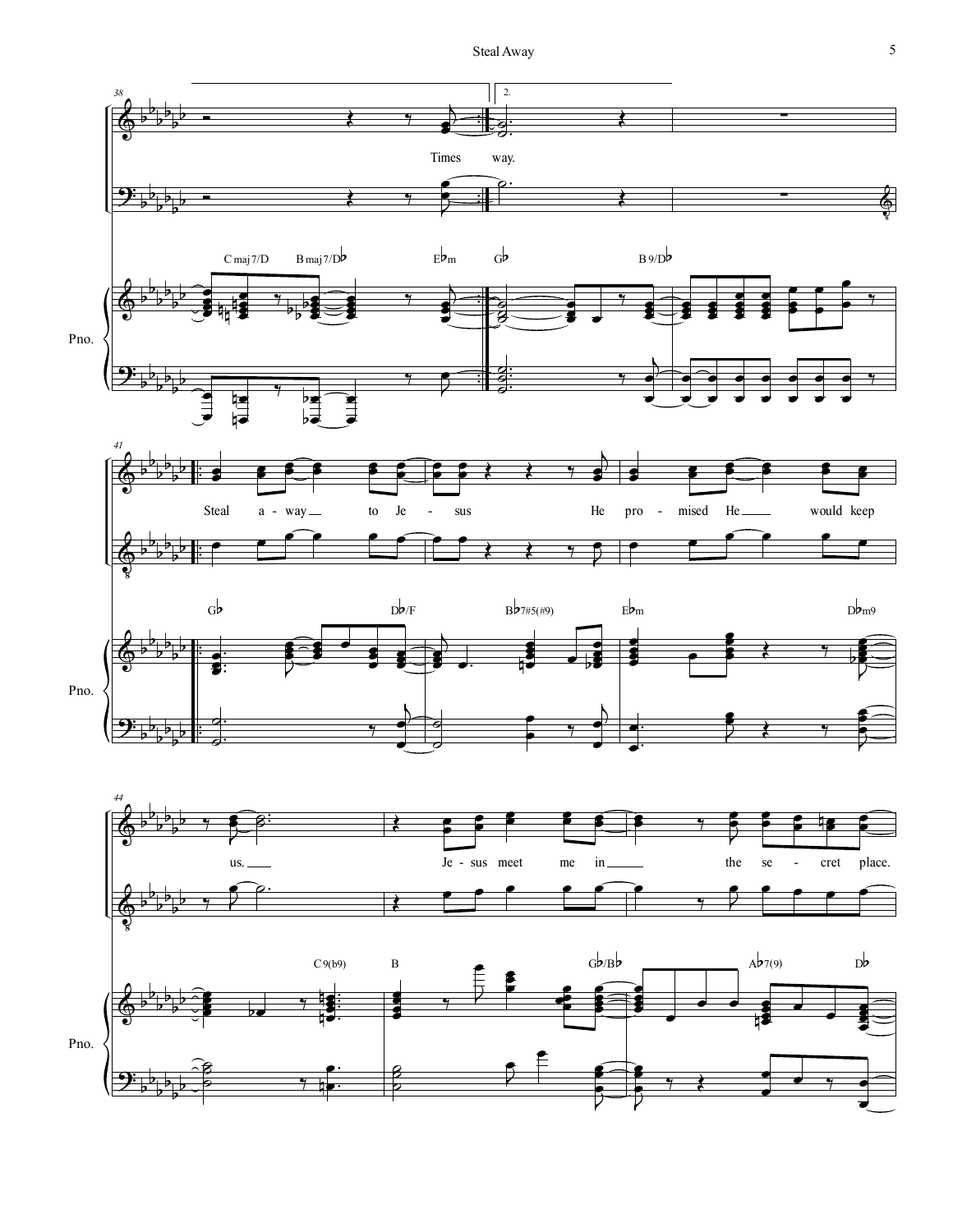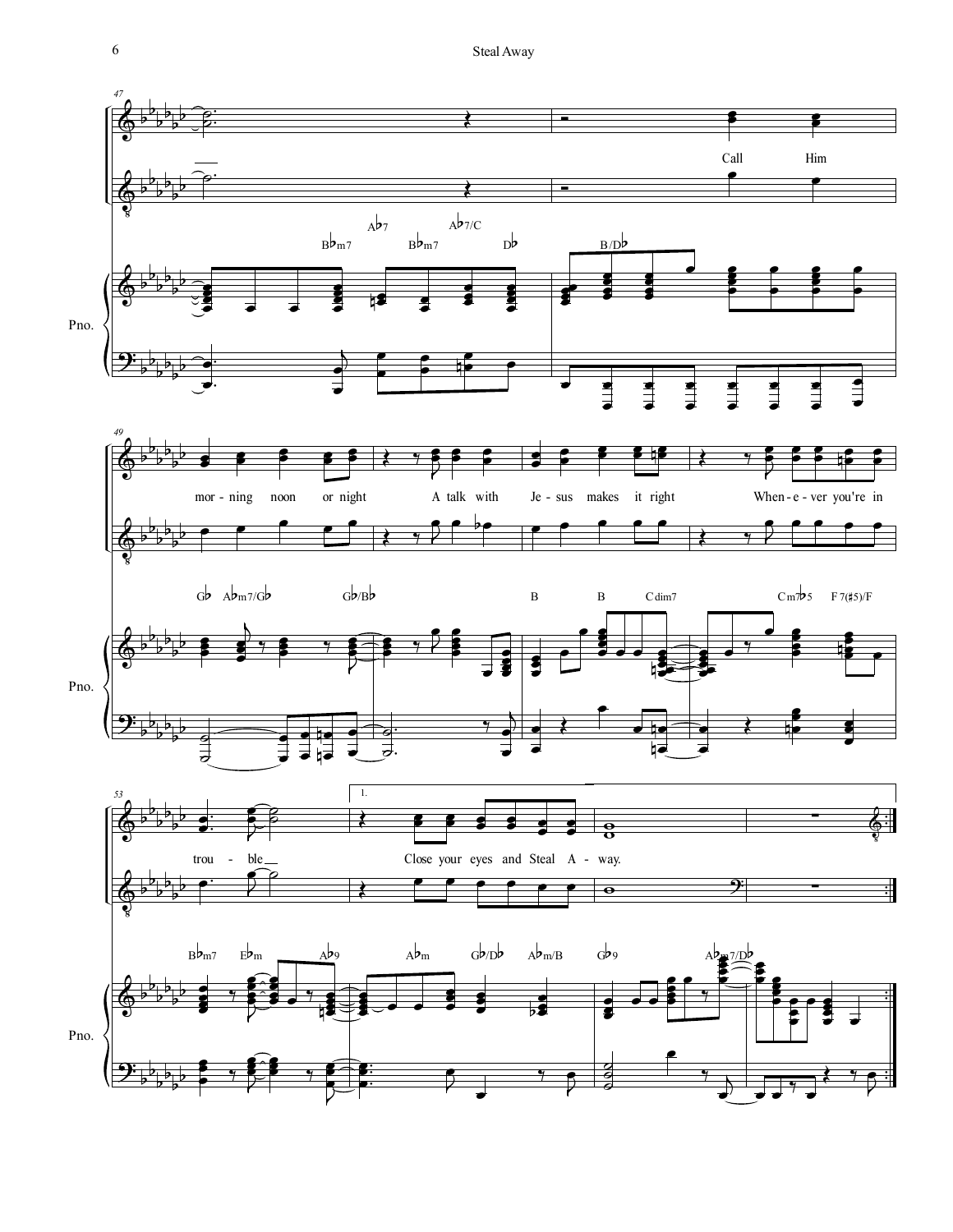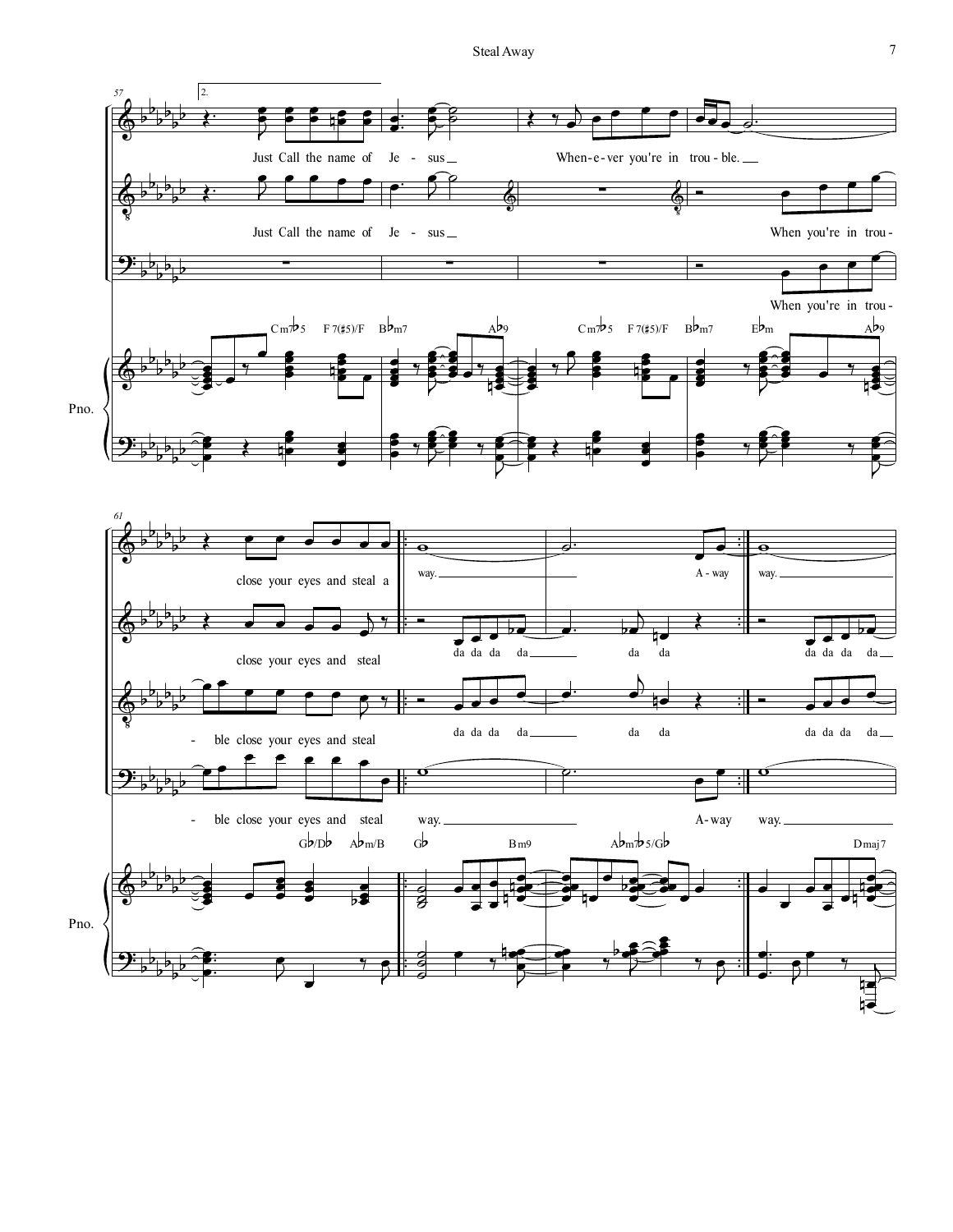